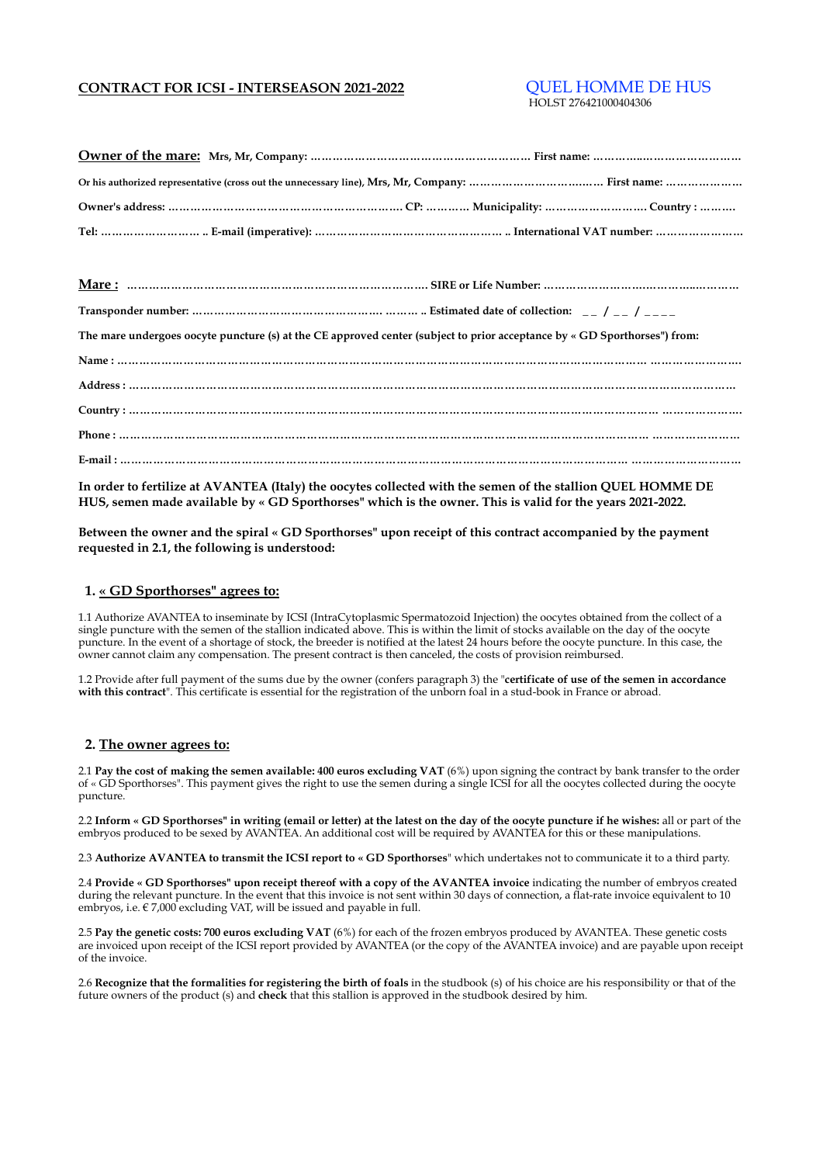## **CONTRACT FOR ICSI - INTERSEASON 2021-2022** QUEL HOMME DE HUS

# HOLST 276421000404306

| The mare undergoes oocyte puncture (s) at the CE approved center (subject to prior acceptance by « GD Sporthorses") from: |
|---------------------------------------------------------------------------------------------------------------------------|
|                                                                                                                           |
|                                                                                                                           |
|                                                                                                                           |
|                                                                                                                           |
|                                                                                                                           |
|                                                                                                                           |

**In order to fertilize at AVANTEA (Italy) the oocytes collected with the semen of the stallion QUEL HOMME DE HUS, semen made available by « GD Sporthorses" which is the owner. This is valid for the years 2021-2022.**

**Between the owner and the spiral « GD Sporthorses" upon receipt of this contract accompanied by the payment requested in 2.1, the following is understood:**

#### **1. « GD Sporthorses" agrees to:**

1.1 Authorize AVANTEA to inseminate by ICSI (IntraCytoplasmic Spermatozoid Injection) the oocytes obtained from the collect of a single puncture with the semen of the stallion indicated above. This is within the limit of stocks available on the day of the oocyte puncture. In the event of a shortage of stock, the breeder is notified at the latest 24 hours before the oocyte puncture. In this case, the owner cannot claim any compensation. The present contract is then canceled, the costs of provision reimbursed.

1.2 Provide after full payment of the sums due by the owner (confers paragraph 3) the "**certificate of use of the semen in accordance with this contract**". This certificate is essential for the registration of the unborn foal in a stud-book in France or abroad.

### **2. The owner agrees to:**

2.1 **Pay the cost of making the semen available: 400 euros excluding VAT** (6%) upon signing the contract by bank transfer to the order of « GD Sporthorses". This payment gives the right to use the semen during a single ICSI for all the oocytes collected during the oocyte puncture.

2.2 **Inform « GD Sporthorses" in writing (email or letter) at the latest on the day of the oocyte puncture if he wishes:** all or part of the embryos produced to be sexed by AVANTEA. An additional cost will be required by AVANTEA for this or these manipulations.

2.3 **Authorize AVANTEA to transmit the ICSI report to « GD Sporthorses**" which undertakes not to communicate it to a third party.

2.4 **Provide « GD Sporthorses" upon receipt thereof with a copy of the AVANTEA invoice** indicating the number of embryos created during the relevant puncture. In the event that this invoice is not sent within 30 days of connection, a flat-rate invoice equivalent to 10 embryos, i.e.  $\epsilon$  7,000 excluding VAT, will be issued and payable in full.

2.5 **Pay the genetic costs: 700 euros excluding VAT** (6%) for each of the frozen embryos produced by AVANTEA. These genetic costs are invoiced upon receipt of the ICSI report provided by AVANTEA (or the copy of the AVANTEA invoice) and are payable upon receipt of the invoice.

2.6 **Recognize that the formalities for registering the birth of foals** in the studbook (s) of his choice are his responsibility or that of the future owners of the product (s) and **check** that this stallion is approved in the studbook desired by him.